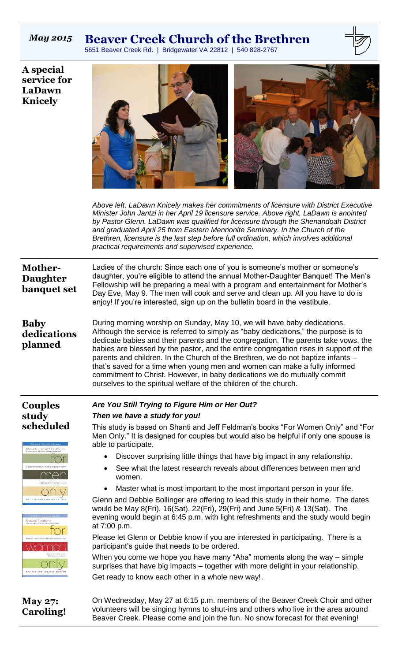## *May 2015* **Beaver Creek Church of the Brethren**

5651 Beaver Creek Rd. | Bridgewater VA 22812 | 540 828-2767



**A special service for LaDawn Knicely**



*Above left, LaDawn Knicely makes her commitments of licensure with District Executive Minister John Jantzi in her April 19 licensure service. Above right, LaDawn is anointed by Pastor Glenn. LaDawn was qualified for licensure through the Shenandoah District and graduated April 25 from Eastern Mennonite Seminary. In the Church of the Brethren, licensure is the last step before full ordination, which involves additional practical requirements and supervised experience.*

| Ladies of the church: Since each one of you is someone's mother or someone's<br><b>Mother-</b><br>daughter, you're eligible to attend the annual Mother-Daughter Banquet! The Men's<br><b>Daughter</b><br>Fellowship will be preparing a meal with a program and entertainment for Mother's<br>banquet set<br>Day Eve, May 9. The men will cook and serve and clean up. All you have to do is<br>enjoy! If you're interested, sign up on the bulletin board in the vestibule. |                                                                                                                                                                                                                                                                                                                                                                                                                                                                                                                                                                                                                                                                   |  |  |  |  |  |
|-------------------------------------------------------------------------------------------------------------------------------------------------------------------------------------------------------------------------------------------------------------------------------------------------------------------------------------------------------------------------------------------------------------------------------------------------------------------------------|-------------------------------------------------------------------------------------------------------------------------------------------------------------------------------------------------------------------------------------------------------------------------------------------------------------------------------------------------------------------------------------------------------------------------------------------------------------------------------------------------------------------------------------------------------------------------------------------------------------------------------------------------------------------|--|--|--|--|--|
| <b>Baby</b><br>dedications<br>planned                                                                                                                                                                                                                                                                                                                                                                                                                                         | During morning worship on Sunday, May 10, we will have baby dedications.<br>Although the service is referred to simply as "baby dedications," the purpose is to<br>dedicate babies and their parents and the congregation. The parents take vows, the<br>babies are blessed by the pastor, and the entire congregation rises in support of the<br>parents and children. In the Church of the Brethren, we do not baptize infants -<br>that's saved for a time when young men and women can make a fully informed<br>commitment to Christ. However, in baby dedications we do mutually commit<br>ourselves to the spiritual welfare of the children of the church. |  |  |  |  |  |
| <b>Couples</b>                                                                                                                                                                                                                                                                                                                                                                                                                                                                | Are You Still Trying to Figure Him or Her Out?                                                                                                                                                                                                                                                                                                                                                                                                                                                                                                                                                                                                                    |  |  |  |  |  |
| study                                                                                                                                                                                                                                                                                                                                                                                                                                                                         | Then we have a study for you!                                                                                                                                                                                                                                                                                                                                                                                                                                                                                                                                                                                                                                     |  |  |  |  |  |
| scheduled<br>Shaunti and Jeff Feldhah                                                                                                                                                                                                                                                                                                                                                                                                                                         | This study is based on Shanti and Jeff Feldman's books "For Women Only" and "For<br>Men Only." It is designed for couples but would also be helpful if only one spouse is<br>able to participate.                                                                                                                                                                                                                                                                                                                                                                                                                                                                 |  |  |  |  |  |
|                                                                                                                                                                                                                                                                                                                                                                                                                                                                               | Discover surprising little things that have big impact in any relationship.                                                                                                                                                                                                                                                                                                                                                                                                                                                                                                                                                                                       |  |  |  |  |  |
|                                                                                                                                                                                                                                                                                                                                                                                                                                                                               | See what the latest research reveals about differences between men and<br>women.                                                                                                                                                                                                                                                                                                                                                                                                                                                                                                                                                                                  |  |  |  |  |  |
|                                                                                                                                                                                                                                                                                                                                                                                                                                                                               | Master what is most important to the most important person in your life.                                                                                                                                                                                                                                                                                                                                                                                                                                                                                                                                                                                          |  |  |  |  |  |
| Shaunti Feichahr                                                                                                                                                                                                                                                                                                                                                                                                                                                              | Glenn and Debbie Bollinger are offering to lead this study in their home. The dates<br>would be May 8(Fri), 16(Sat), 22(Fri), 29(Fri) and June 5(Fri) & 13(Sat). The<br>evening would begin at 6:45 p.m. with light refreshments and the study would begin<br>at 7:00 p.m.                                                                                                                                                                                                                                                                                                                                                                                        |  |  |  |  |  |
|                                                                                                                                                                                                                                                                                                                                                                                                                                                                               | Please let Glenn or Debbie know if you are interested in participating. There is a<br>participant's guide that needs to be ordered.                                                                                                                                                                                                                                                                                                                                                                                                                                                                                                                               |  |  |  |  |  |
|                                                                                                                                                                                                                                                                                                                                                                                                                                                                               | When you come we hope you have many "Aha" moments along the way – simple<br>surprises that have big impacts – together with more delight in your relationship.                                                                                                                                                                                                                                                                                                                                                                                                                                                                                                    |  |  |  |  |  |
|                                                                                                                                                                                                                                                                                                                                                                                                                                                                               | Get ready to know each other in a whole new way!.                                                                                                                                                                                                                                                                                                                                                                                                                                                                                                                                                                                                                 |  |  |  |  |  |
| <b>May 27:</b><br><b>Caroling!</b>                                                                                                                                                                                                                                                                                                                                                                                                                                            | On Wednesday, May 27 at 6:15 p.m. members of the Beaver Creek Choir and other<br>volunteers will be singing hymns to shut-ins and others who live in the area around<br>Beaver Creek. Please come and join the fun. No snow forecast for that evening!                                                                                                                                                                                                                                                                                                                                                                                                            |  |  |  |  |  |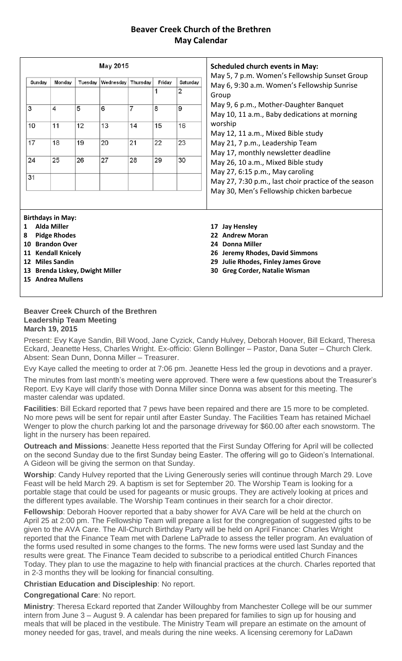## **Beaver Creek Church of the Brethren May Calendar**

| May 2015          |                                                                                                                                                                                           |         |           |          |             | <b>Scheduled church events in May:</b> |                                                                                                                                                                            |
|-------------------|-------------------------------------------------------------------------------------------------------------------------------------------------------------------------------------------|---------|-----------|----------|-------------|----------------------------------------|----------------------------------------------------------------------------------------------------------------------------------------------------------------------------|
| Sunday            | Monday                                                                                                                                                                                    | Tuesday | Wednesday | Thursday | Friday<br>1 | Saturday<br>$\overline{2}$             | May 5, 7 p.m. Women's Fellowship Sunset Group<br>May 6, 9:30 a.m. Women's Fellowship Sunrise<br>Group                                                                      |
| 3                 | 4                                                                                                                                                                                         | 5       | 6         | 7        | 8           | 9                                      | May 9, 6 p.m., Mother-Daughter Banquet<br>May 10, 11 a.m., Baby dedications at morning                                                                                     |
| 10                | 11                                                                                                                                                                                        | 12      | 13        | 14       | 15          | 16                                     | worship<br>May 12, 11 a.m., Mixed Bible study                                                                                                                              |
| 17                | 18                                                                                                                                                                                        | 19      | 20        | 21       | 22          | 23                                     | May 21, 7 p.m., Leadership Team<br>May 17, monthly newsletter deadline                                                                                                     |
| 24                | 25                                                                                                                                                                                        | 26      | 27        | 28       | 29          | 30                                     | May 26, 10 a.m., Mixed Bible study<br>May 27, 6:15 p.m., May caroling                                                                                                      |
| 31                |                                                                                                                                                                                           |         |           |          |             |                                        | May 27, 7:30 p.m., last choir practice of the season<br>May 30, Men's Fellowship chicken barbecue                                                                          |
| $\mathbf{1}$<br>8 | <b>Birthdays in May:</b><br><b>Alda Miller</b><br><b>Pidge Rhodes</b><br>10 Brandon Over<br>11 Kendall Knicely<br>12 Miles Sandin<br>13 Brenda Liskey, Dwight Miller<br>15 Andrea Mullens |         |           |          |             |                                        | 17 Jay Hensley<br><b>Andrew Moran</b><br>22<br>24 Donna Miller<br>26 Jeremy Rhodes, David Simmons<br>29 Julie Rhodes, Finley James Grove<br>30 Greg Corder, Natalie Wisman |

## **Beaver Creek Church of the Brethren Leadership Team Meeting March 19, 2015**

Present: Evy Kaye Sandin, Bill Wood, Jane Cyzick, Candy Hulvey, Deborah Hoover, Bill Eckard, Theresa Eckard, Jeanette Hess, Charles Wright. Ex-officio: Glenn Bollinger – Pastor, Dana Suter – Church Clerk. Absent: Sean Dunn, Donna Miller – Treasurer.

Evy Kaye called the meeting to order at 7:06 pm. Jeanette Hess led the group in devotions and a prayer.

The minutes from last month's meeting were approved. There were a few questions about the Treasurer's Report. Evy Kaye will clarify those with Donna Miller since Donna was absent for this meeting. The master calendar was updated.

**Facilities**: Bill Eckard reported that 7 pews have been repaired and there are 15 more to be completed. No more pews will be sent for repair until after Easter Sunday. The Facilities Team has retained Michael Wenger to plow the church parking lot and the parsonage driveway for \$60.00 after each snowstorm. The light in the nursery has been repaired.

**Outreach and Missions**: Jeanette Hess reported that the First Sunday Offering for April will be collected on the second Sunday due to the first Sunday being Easter. The offering will go to Gideon's International. A Gideon will be giving the sermon on that Sunday.

**Worship**: Candy Hulvey reported that the Living Generously series will continue through March 29. Love Feast will be held March 29. A baptism is set for September 20. The Worship Team is looking for a portable stage that could be used for pageants or music groups. They are actively looking at prices and the different types available. The Worship Team continues in their search for a choir director.

**Fellowship**: Deborah Hoover reported that a baby shower for AVA Care will be held at the church on April 25 at 2:00 pm. The Fellowship Team will prepare a list for the congregation of suggested gifts to be given to the AVA Care. The All-Church Birthday Party will be held on April Finance: Charles Wright reported that the Finance Team met with Darlene LaPrade to assess the teller program. An evaluation of the forms used resulted in some changes to the forms. The new forms were used last Sunday and the results were great. The Finance Team decided to subscribe to a periodical entitled Church Finances Today. They plan to use the magazine to help with financial practices at the church. Charles reported that in 2-3 months they will be looking for financial consulting.

**Christian Education and Discipleship**: No report.

**Congregational Care**: No report.

**Ministry**: Theresa Eckard reported that Zander Willoughby from Manchester College will be our summer intern from June 3 – August 9. A calendar has been prepared for families to sign up for housing and meals that will be placed in the vestibule. The Ministry Team will prepare an estimate on the amount of money needed for gas, travel, and meals during the nine weeks. A licensing ceremony for LaDawn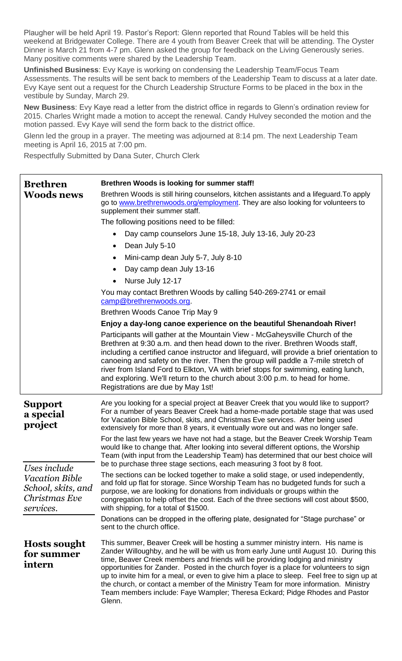Plaugher will be held April 19. Pastor's Report: Glenn reported that Round Tables will be held this weekend at Bridgewater College. There are 4 youth from Beaver Creek that will be attending. The Oyster Dinner is March 21 from 4-7 pm. Glenn asked the group for feedback on the Living Generously series. Many positive comments were shared by the Leadership Team.

**Unfinished Business**: Evy Kaye is working on condensing the Leadership Team/Focus Team Assessments. The results will be sent back to members of the Leadership Team to discuss at a later date. Evy Kaye sent out a request for the Church Leadership Structure Forms to be placed in the box in the vestibule by Sunday, March 29.

**New Business**: Evy Kaye read a letter from the district office in regards to Glenn's ordination review for 2015. Charles Wright made a motion to accept the renewal. Candy Hulvey seconded the motion and the motion passed. Evy Kaye will send the form back to the district office.

Glenn led the group in a prayer. The meeting was adjourned at 8:14 pm. The next Leadership Team meeting is April 16, 2015 at 7:00 pm.

Respectfully Submitted by Dana Suter, Church Clerk

| <b>Brethren</b><br><b>Woods news</b>                                                      | <b>Brethren Woods is looking for summer staff!</b><br>Brethren Woods is still hiring counselors, kitchen assistants and a lifeguard. To apply<br>go to www.brethrenwoods.org/employment. They are also looking for volunteers to<br>supplement their summer staff.<br>The following positions need to be filled:<br>Day camp counselors June 15-18, July 13-16, July 20-23<br>$\bullet$<br>Dean July 5-10<br>$\bullet$<br>Mini-camp dean July 5-7, July 8-10<br>Day camp dean July 13-16<br>$\bullet$<br>Nurse July 12-17<br>$\bullet$<br>You may contact Brethren Woods by calling 540-269-2741 or email<br>camp@brethrenwoods.org.<br>Brethren Woods Canoe Trip May 9<br>Enjoy a day-long canoe experience on the beautiful Shenandoah River!<br>Participants will gather at the Mountain View - McGaheysville Church of the                                                                                                                                                                                                                                                                                                                                                                                |  |  |  |  |
|-------------------------------------------------------------------------------------------|---------------------------------------------------------------------------------------------------------------------------------------------------------------------------------------------------------------------------------------------------------------------------------------------------------------------------------------------------------------------------------------------------------------------------------------------------------------------------------------------------------------------------------------------------------------------------------------------------------------------------------------------------------------------------------------------------------------------------------------------------------------------------------------------------------------------------------------------------------------------------------------------------------------------------------------------------------------------------------------------------------------------------------------------------------------------------------------------------------------------------------------------------------------------------------------------------------------|--|--|--|--|
|                                                                                           | Brethren at 9:30 a.m. and then head down to the river. Brethren Woods staff,<br>including a certified canoe instructor and lifeguard, will provide a brief orientation to<br>canoeing and safety on the river. Then the group will paddle a 7-mile stretch of<br>river from Island Ford to Elkton, VA with brief stops for swimming, eating lunch,<br>and exploring. We'll return to the church about 3:00 p.m. to head for home.<br>Registrations are due by May 1st!                                                                                                                                                                                                                                                                                                                                                                                                                                                                                                                                                                                                                                                                                                                                        |  |  |  |  |
| <b>Support</b><br>a special<br>project                                                    | Are you looking for a special project at Beaver Creek that you would like to support?<br>For a number of years Beaver Creek had a home-made portable stage that was used<br>for Vacation Bible School, skits, and Christmas Eve services. After being used<br>extensively for more than 8 years, it eventually wore out and was no longer safe.<br>For the last few years we have not had a stage, but the Beaver Creek Worship Team<br>would like to change that. After looking into several different options, the Worship<br>Team (with input from the Leadership Team) has determined that our best choice will<br>be to purchase three stage sections, each measuring 3 foot by 8 foot.<br>The sections can be locked together to make a solid stage, or used independently,<br>and fold up flat for storage. Since Worship Team has no budgeted funds for such a<br>purpose, we are looking for donations from individuals or groups within the<br>congregation to help offset the cost. Each of the three sections will cost about \$500,<br>with shipping, for a total of \$1500.<br>Donations can be dropped in the offering plate, designated for "Stage purchase" or<br>sent to the church office. |  |  |  |  |
| Uses include<br><b>Vacation Bible</b><br>School, skits, and<br>Christmas Eve<br>services. |                                                                                                                                                                                                                                                                                                                                                                                                                                                                                                                                                                                                                                                                                                                                                                                                                                                                                                                                                                                                                                                                                                                                                                                                               |  |  |  |  |
| <b>Hosts sought</b><br>for summer<br>intern                                               | This summer, Beaver Creek will be hosting a summer ministry intern. His name is<br>Zander Willoughby, and he will be with us from early June until August 10. During this<br>time, Beaver Creek members and friends will be providing lodging and ministry<br>opportunities for Zander. Posted in the church foyer is a place for volunteers to sign<br>up to invite him for a meal, or even to give him a place to sleep. Feel free to sign up at<br>the church, or contact a member of the Ministry Team for more information. Ministry<br>Team members include: Faye Wampler; Theresa Eckard; Pidge Rhodes and Pastor<br>Glenn.                                                                                                                                                                                                                                                                                                                                                                                                                                                                                                                                                                            |  |  |  |  |